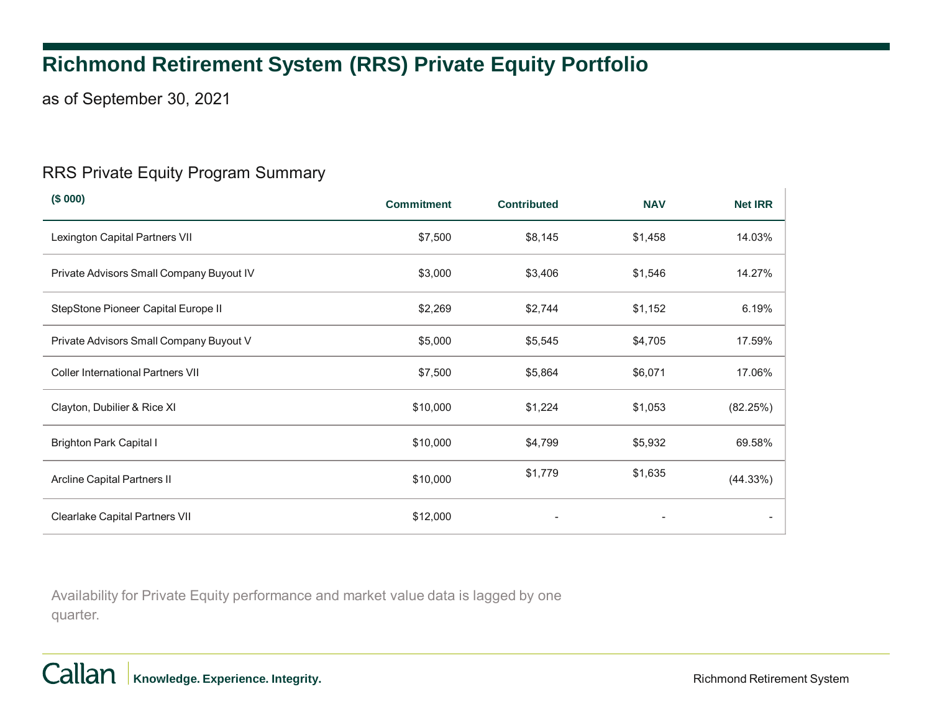# **Richmond Retirement System (RRS) Private Equity Portfolio**

as of September 30, 2021

#### RRS Private Equity Program Summary

| (\$000)                                  | <b>Commitment</b> | <b>Contributed</b>           | <b>NAV</b> | <b>Net IRR</b> |
|------------------------------------------|-------------------|------------------------------|------------|----------------|
| Lexington Capital Partners VII           | \$7,500           | \$8,145                      | \$1,458    | 14.03%         |
| Private Advisors Small Company Buyout IV | \$3,000           | \$3,406                      | \$1,546    | 14.27%         |
| StepStone Pioneer Capital Europe II      | \$2,269           | \$2,744                      | \$1,152    | 6.19%          |
| Private Advisors Small Company Buyout V  | \$5,000           | \$5,545                      | \$4,705    | 17.59%         |
| <b>Coller International Partners VII</b> | \$7,500           | \$5,864                      | \$6,071    | 17.06%         |
| Clayton, Dubilier & Rice XI              | \$10,000          | \$1,224                      | \$1,053    | (82.25%)       |
| <b>Brighton Park Capital I</b>           | \$10,000          | \$4,799                      | \$5,932    | 69.58%         |
| Arcline Capital Partners II              | \$10,000          | \$1,779                      | \$1,635    | (44.33%)       |
| Clearlake Capital Partners VII           | \$12,000          | $\qquad \qquad \blacksquare$ |            |                |

Availability for Private Equity performance and market value data is lagged by one quarter.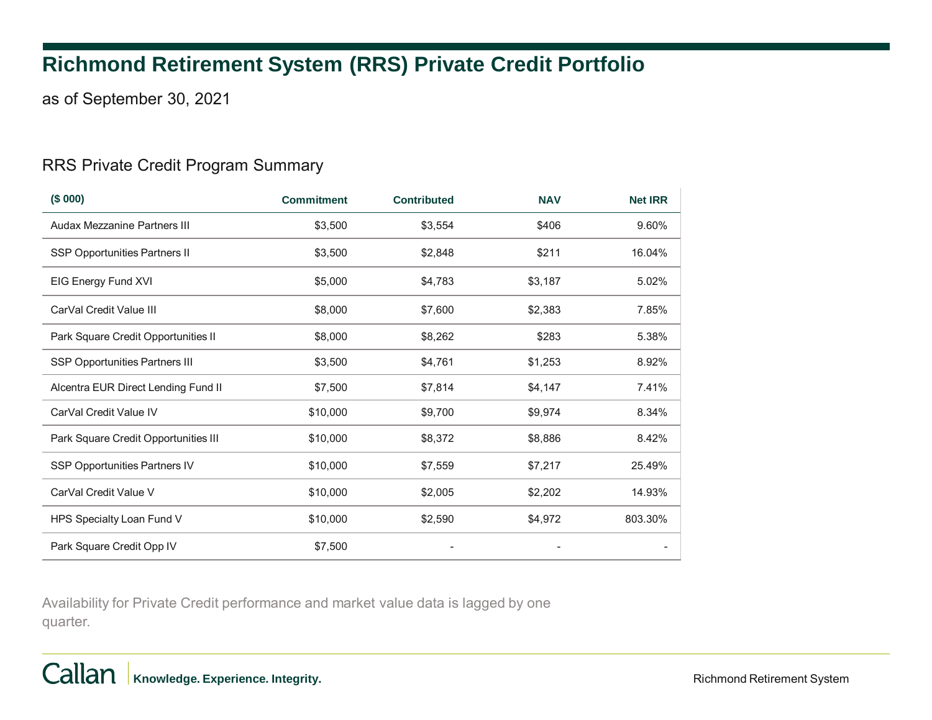## **Richmond Retirement System (RRS) Private Credit Portfolio**

as of September 30, 2021

### RRS Private Credit Program Summary

| (\$000)                               | <b>Commitment</b> | <b>Contributed</b> | <b>NAV</b> | <b>Net IRR</b> |
|---------------------------------------|-------------------|--------------------|------------|----------------|
| Audax Mezzanine Partners III          | \$3,500           | \$3,554            | \$406      | 9.60%          |
| SSP Opportunities Partners II         | \$3,500           | \$2,848            | \$211      | 16.04%         |
| EIG Energy Fund XVI                   | \$5,000           | \$4,783            | \$3,187    | 5.02%          |
| CarVal Credit Value III               | \$8,000           | \$7,600            | \$2,383    | 7.85%          |
| Park Square Credit Opportunities II   | \$8,000           | \$8,262            | \$283      | 5.38%          |
| <b>SSP Opportunities Partners III</b> | \$3,500           | \$4,761            | \$1,253    | 8.92%          |
| Alcentra EUR Direct Lending Fund II   | \$7,500           | \$7,814            | \$4,147    | 7.41%          |
| CarVal Credit Value IV                | \$10,000          | \$9,700            | \$9,974    | 8.34%          |
| Park Square Credit Opportunities III  | \$10,000          | \$8,372            | \$8,886    | 8.42%          |
| SSP Opportunities Partners IV         | \$10,000          | \$7,559            | \$7,217    | 25.49%         |
| CarVal Credit Value V                 | \$10,000          | \$2,005            | \$2,202    | 14.93%         |
| HPS Specialty Loan Fund V             | \$10,000          | \$2,590            | \$4,972    | 803.30%        |
| Park Square Credit Opp IV             | \$7,500           |                    |            |                |

Availability for Private Credit performance and market value data is lagged by one quarter.